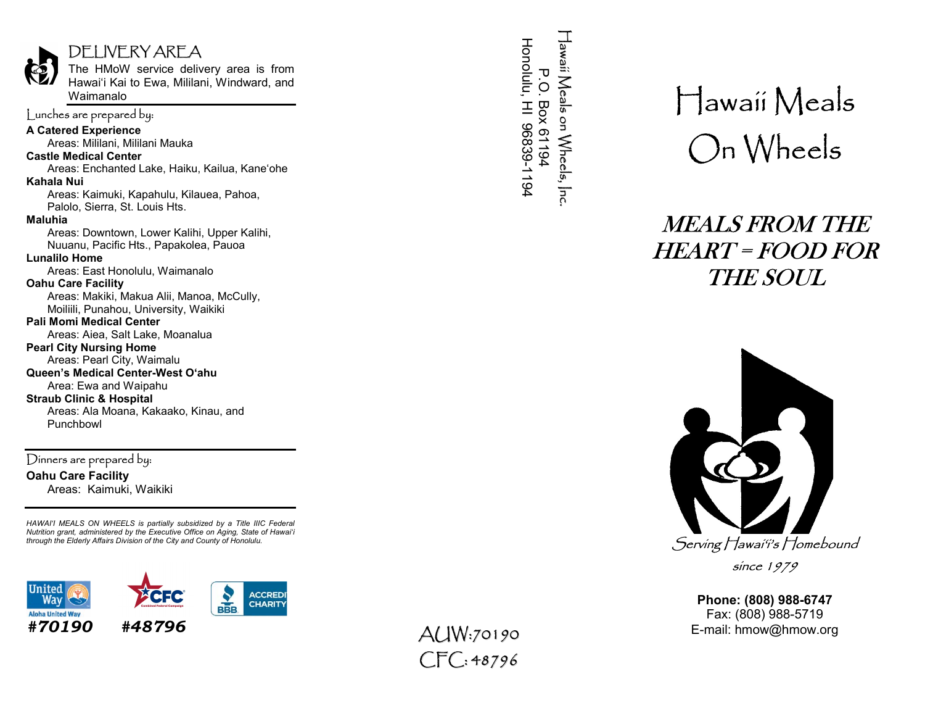# DELIVEKY AKEA

The HMoW service delivery area is from Hawai'i Kai to Ewa, Mililani, Windward, and Waimanalo

# Lunches are prepared by:

A Catered Experience

Areas: Mililani, Mililani Mauka

### Castle Medical Center

Areas: Enchanted Lake, Haiku, Kailua, Kane'ohe Kahala Nui

Areas: Kaimuki, Kapahulu, Kilauea, Pahoa, Palolo, Sierra, St. Louis Hts.

#### Maluhia

Areas: Downtown, Lower Kalihi, Upper Kalihi, Nuuanu, Pacific Hts., Papakolea, Pauoa

#### Lunalilo Home

Areas: East Honolulu, Waimanalo

#### Oahu Care Facility

Areas: Makiki, Makua Alii, Manoa, McCully, Moiliili, Punahou, University, Waikiki

## Pali Momi Medical Center

Areas: Aiea, Salt Lake, Moanalua

#### Pearl City Nursing Home Areas: Pearl City, Waimalu

# Queen's Medical Center-West O'ahu

 Area: Ewa and Waipahu Straub Clinic & Hospital

Areas: Ala Moana, Kakaako, Kinau, and Punchbowl

Dinners are prepared by: Oahu Care Facility Areas: Kaimuki, Waikiki

HAWAI'I MEALS ON WHEELS is partially subsidized by a Title IIIC Federal Nutrition grant, administered by the Executive Office on Aging, State of Hawai'i through the Elderly Affairs Division of the City and County of Honolulu.



 $CTC: 48796$ 

# Hawaii Meals On Wheels

# MEALS FROM THE HEART = FOOD FOR THE SOUL



since 1979

Phone: (808) 988-6747 Fax: (808) 988-5719